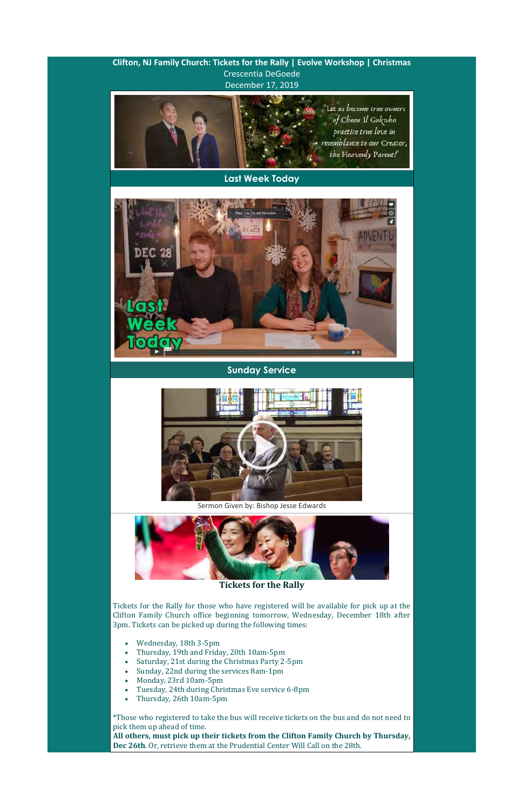**Clifton, NJ Family Church: Tickets for the Rally | Evolve Workshop | Christmas**  Crescentia DeGoede December 17, 2019



**Last Week Today**



**Sunday Service**



Sermon Given by: Bishop Jesse Edwards



**Tickets for the Rally**

Tickets for the Rally for those who have registered will be available for pick up at the Clifton Family Church office beginning tomorrow, Wednesday, December 18th after 3pm. Tickets can be picked up during the following times:

- Wednesday, 18th 3-5pm
- Thursday, 19th and Friday, 20th 10am-5pm
- Saturday, 21st during the Christmas Party 2-5pm
- Sunday, 22nd during the services 8am-1pm
- Monday, 23rd 10am-5pm
- Tuesday, 24th during Christmas Eve service 6-8pm
- Thursday, 26th 10am-5pm

\*Those who registered to take the bus will receive tickets on the bus and do not need to pick them up ahead of time. **All others, must pick up their tickets from the Clifton Family Church by Thursday, Dec 26th**. Or, retrieve them at the Prudential Center Will Call on the 28th.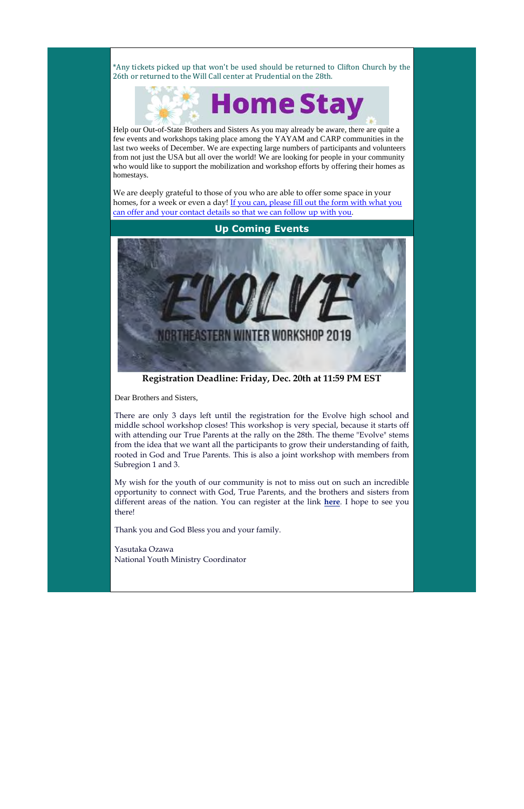\*Any tickets picked up that won't be used should be returned to Clifton Church by the 26th or returned to the Will Call center at Prudential on the 28th.



Help our Out-of-State Brothers and Sisters As you may already be aware, there are quite a few events and workshops taking place among the YAYAM and CARP communities in the last two weeks of December. We are expecting large numbers of participants and volunteers from not just the USA but all over the world! We are looking for people in your community who would like to support the mobilization and workshop efforts by offering their homes as homestays.

We are deeply grateful to those of you who are able to offer some space in your homes, for a week or even a day! If you can, please fill out the form with what you can offer and your contact details so that we can follow up with you.



**Registration Deadline: Friday, Dec. 20th at 11:59 PM EST**

Dear Brothers and Sisters,

There are only 3 days left until the registration for the Evolve high school and middle school workshop closes! This workshop is very special, because it starts off with attending our True Parents at the rally on the 28th. The theme "Evolve" stems from the idea that we want all the participants to grow their understanding of faith, rooted in God and True Parents. This is also a joint workshop with members from Subregion 1 and 3.

My wish for the youth of our community is not to miss out on such an incredible opportunity to connect with God, True Parents, and the brothers and sisters from different areas of the nation. You can register at the link **here**. I hope to see you there!

Thank you and God Bless you and your family.

Yasutaka Ozawa National Youth Ministry Coordinator